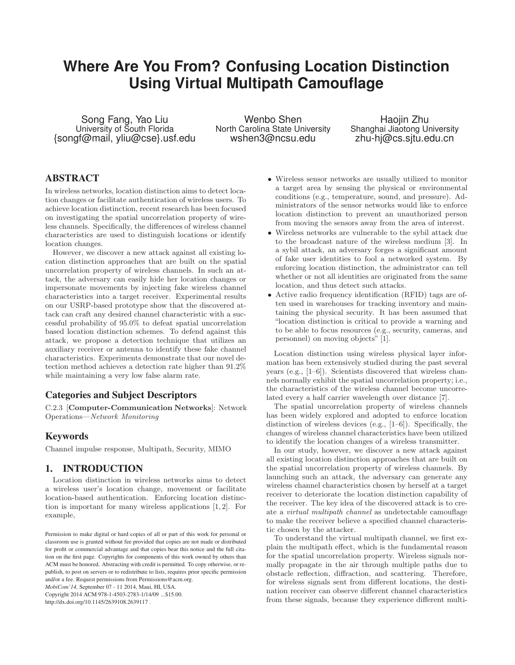# **Where Are You From? Confusing Location Distinction Using Virtual Multipath Camouflage**

Song Fang, Yao Liu University of South Florida {songf@mail, yliu@cse}.usf.edu

Wenbo Shen North Carolina State University wshen3@ncsu.edu

Haojin Zhu Shanghai Jiaotong University zhu-hj@cs.sjtu.edu.cn

# **ABSTRACT**

In wireless networks, location distinction aims to detect location changes or facilitate authentication of wireless users. To achieve location distinction, recent research has been focused on investigating the spatial uncorrelation property of wireless channels. Specifically, the differences of wireless channel characteristics are used to distinguish locations or identify location changes.

However, we discover a new attack against all existing location distinction approaches that are built on the spatial uncorrelation property of wireless channels. In such an attack, the adversary can easily hide her location changes or impersonate movements by injecting fake wireless channel characteristics into a target receiver. Experimental results on our USRP-based prototype show that the discovered attack can craft any desired channel characteristic with a successful probability of 95.0% to defeat spatial uncorrelation based location distinction schemes. To defend against this attack, we propose a detection technique that utilizes an auxiliary receiver or antenna to identify these fake channel characteristics. Experiments demonstrate that our novel detection method achieves a detection rate higher than 91.2% while maintaining a very low false alarm rate.

## **Categories and Subject Descriptors**

C.2.3 [Computer-Communication Networks]: Network Operations—Network Monitoring

## **Keywords**

Channel impulse response, Multipath, Security, MIMO

# **1. INTRODUCTION**

Location distinction in wireless networks aims to detect a wireless user's location change, movement or facilitate location-based authentication. Enforcing location distinction is important for many wireless applications [1, 2]. For example,

*MobiCom'14,* September 07 - 11 2014, Maui, HI, USA.

Copyright 2014 ACM 978-1-4503-2783-1/14/09 ...\$15.00. http://dx.doi.org/10.1145/2639108.2639117 .

- Wireless sensor networks are usually utilized to monitor a target area by sensing the physical or environmental conditions (e.g., temperature, sound, and pressure). Administrators of the sensor networks would like to enforce location distinction to prevent an unauthorized person from moving the sensors away from the area of interest.
- Wireless networks are vulnerable to the sybil attack due to the broadcast nature of the wireless medium [3]. In a sybil attack, an adversary forges a significant amount of fake user identities to fool a networked system. By enforcing location distinction, the administrator can tell whether or not all identities are originated from the same location, and thus detect such attacks.
- Active radio frequency identification (RFID) tags are often used in warehouses for tracking inventory and maintaining the physical security. It has been assumed that "location distinction is critical to provide a warning and to be able to focus resources (e.g., security, cameras, and personnel) on moving objects" [1].

Location distinction using wireless physical layer information has been extensively studied during the past several years (e.g., [1–6]). Scientists discovered that wireless channels normally exhibit the spatial uncorrelation property; i.e., the characteristics of the wireless channel become uncorrelated every a half carrier wavelength over distance [7].

The spatial uncorrelation property of wireless channels has been widely explored and adopted to enforce location distinction of wireless devices (e.g., [1–6]). Specifically, the changes of wireless channel characteristics have been utilized to identify the location changes of a wireless transmitter.

In our study, however, we discover a new attack against all existing location distinction approaches that are built on the spatial uncorrelation property of wireless channels. By launching such an attack, the adversary can generate any wireless channel characteristics chosen by herself at a target receiver to deteriorate the location distinction capability of the receiver. The key idea of the discovered attack is to create a virtual multipath channel as undetectable camouflage to make the receiver believe a specified channel characteristic chosen by the attacker.

To understand the virtual multipath channel, we first explain the multipath effect, which is the fundamental reason for the spatial uncorrelation property. Wireless signals normally propagate in the air through multiple paths due to obstacle reflection, diffraction, and scattering. Therefore, for wireless signals sent from different locations, the destination receiver can observe different channel characteristics from these signals, because they experience different multi-

Permission to make digital or hard copies of all or part of this work for personal or classroom use is granted without fee provided that copies are not made or distributed for profit or commercial advantage and that copies bear this notice and the full citation on the first page. Copyrights for components of this work owned by others than ACM must be honored. Abstracting with credit is permitted. To copy otherwise, or republish, to post on servers or to redistribute to lists, requires prior specific permission and/or a fee. Request permissions from Permissions@acm.org.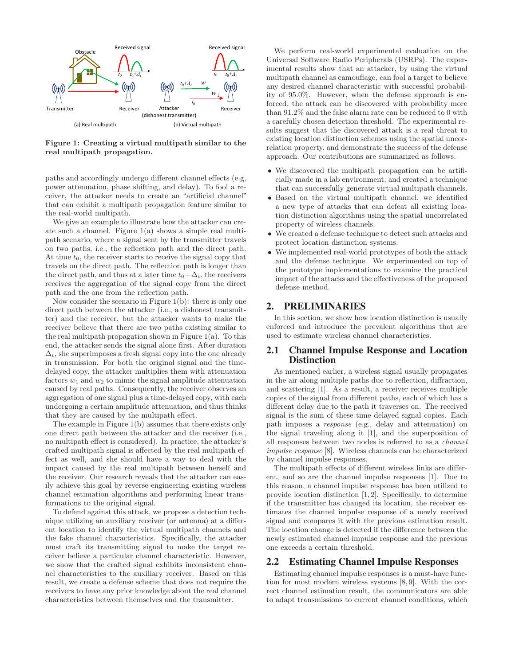

Figure 1: Creating a virtual multipath similar to the real multipath propagation.

paths and accordingly undergo different channel effects (e.g, power attenuation, phase shifting, and delay). To fool a receiver, the attacker needs to create an "artificial channel" that can exhibit a multipath propagation feature similar to the real-world multipath.

We give an example to illustrate how the attacker can create such a channel. Figure 1(a) shows a simple real multipath scenario, where a signal sent by the transmitter travels on two paths, i.e., the reflection path and the direct path. At time  $t_0$ , the receiver starts to receive the signal copy that travels on the direct path. The reflection path is longer than the direct path, and thus at a later time  $t_0+\Delta_t$ , the receivers receives the aggregation of the signal copy from the direct path and the one from the reflection path.

Now consider the scenario in Figure 1(b): there is only one direct path between the attacker (i.e., a dishonest transmitter) and the receiver, but the attacker wants to make the receiver believe that there are two paths existing similar to the real multipath propagation shown in Figure  $1(a)$ . To this end, the attacker sends the signal alone first. After duration  $\Delta_t$ , she superimposes a fresh signal copy into the one already in transmission. For both the original signal and the timedelayed copy, the attacker multiplies them with attenuation factors  $w_1$  and  $w_2$  to mimic the signal amplitude attenuation caused by real paths. Consequently, the receiver observes an aggregation of one signal plus a time-delayed copy, with each undergoing a certain amplitude attenuation, and thus thinks that they are caused by the multipath effect.

The example in Figure 1(b) assumes that there exists only one direct path between the attacker and the receiver (i.e., no multipath effect is considered). In practice, the attacker's crafted multipath signal is affected by the real multipath effect as well, and she should have a way to deal with the impact caused by the real multipath between herself and the receiver. Our research reveals that the attacker can easily achieve this goal by reverse-engineering existing wireless channel estimation algorithms and performing linear transformations to the original signal.

To defend against this attack, we propose a detection technique utilizing an auxiliary receiver (or antenna) at a different location to identify the virtual multipath channels and the fake channel characteristics. Specifically, the attacker must craft its transmitting signal to make the target receiver believe a particular channel characteristic. However, we show that the crafted signal exhibits inconsistent channel characteristics to the auxiliary receiver. Based on this result, we create a defense scheme that does not require the receivers to have any prior knowledge about the real channel characteristics between themselves and the transmitter.

We perform real-world experimental evaluation on the Universal Software Radio Peripherals (USRPs). The experimental results show that an attacker, by using the virtual multipath channel as camouflage, can fool a target to believe any desired channel characteristic with successful probability of 95.0%. However, when the defense approach is enforced, the attack can be discovered with probability more than 91.2% and the false alarm rate can be reduced to 0 with a carefully chosen detection threshold. The experimental results suggest that the discovered attack is a real threat to existing location distinction schemes using the spatial uncorrelation property, and demonstrate the success of the defense approach. Our contributions are summarized as follows.

- We discovered the multipath propagation can be artificially made in a lab environment, and created a technique that can successfully generate virtual multipath channels.
- Based on the virtual multipath channel, we identified a new type of attacks that can defeat all existing location distinction algorithms using the spatial uncorrelated property of wireless channels.
- We created a defense technique to detect such attacks and protect location distinction systems.
- We implemented real-world prototypes of both the attack and the defense technique. We experimented on top of the prototype implementations to examine the practical impact of the attacks and the effectiveness of the proposed defense method.

## **2. PRELIMINARIES**

In this section, we show how location distinction is usually enforced and introduce the prevalent algorithms that are used to estimate wireless channel characteristics.

## **2.1 Channel Impulse Response and Location Distinction**

As mentioned earlier, a wireless signal usually propagates in the air along multiple paths due to reflection, diffraction, and scattering [1]. As a result, a receiver receives multiple copies of the signal from different paths, each of which has a different delay due to the path it traverses on. The received signal is the sum of these time delayed signal copies. Each path imposes a response (e.g., delay and attenuation) on the signal traveling along it [1], and the superposition of all responses between two nodes is referred to as a channel impulse response [8]. Wireless channels can be characterized by channel impulse responses.

The multipath effects of different wireless links are different, and so are the channel impulse responses [1]. Due to this reason, a channel impulse response has been utilized to provide location distinction [1, 2]. Specifically, to determine if the transmitter has changed its location, the receiver estimates the channel impulse response of a newly received signal and compares it with the previous estimation result. The location change is detected if the difference between the newly estimated channel impulse response and the previous one exceeds a certain threshold.

## **2.2 Estimating Channel Impulse Responses**

Estimating channel impulse responses is a must-have function for most modern wireless systems [8, 9]. With the correct channel estimation result, the communicators are able to adapt transmissions to current channel conditions, which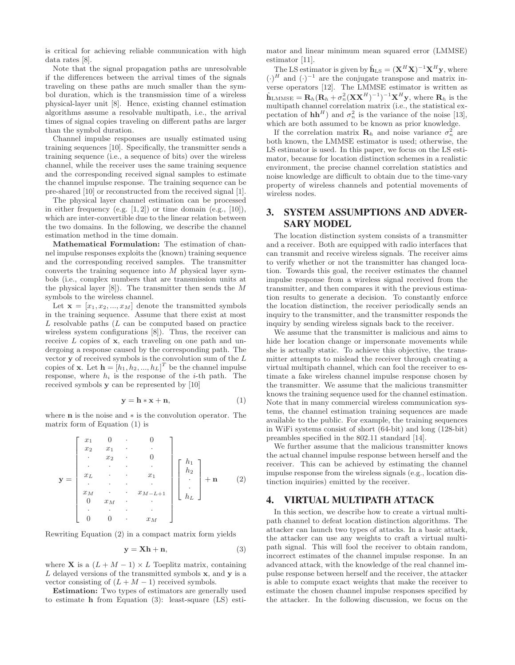is critical for achieving reliable communication with high data rates [8].

Note that the signal propagation paths are unresolvable if the differences between the arrival times of the signals traveling on these paths are much smaller than the symbol duration, which is the transmission time of a wireless physical-layer unit [8]. Hence, existing channel estimation algorithms assume a resolvable multipath, i.e., the arrival times of signal copies traveling on different paths are larger than the symbol duration.

Channel impulse responses are usually estimated using training sequences [10]. Specifically, the transmitter sends a training sequence (i.e., a sequence of bits) over the wireless channel, while the receiver uses the same training sequence and the corresponding received signal samples to estimate the channel impulse response. The training sequence can be pre-shared [10] or reconstructed from the received signal [1].

The physical layer channel estimation can be processed in either frequency (e.g.  $[1, 2]$ ) or time domain (e.g.,  $[10]$ ), which are inter-convertible due to the linear relation between the two domains. In the following, we describe the channel estimation method in the time domain.

Mathematical Formulation: The estimation of channel impulse responses exploits the (known) training sequence and the corresponding received samples. The transmitter converts the training sequence into  $M$  physical layer symbols (i.e., complex numbers that are transmission units at the physical layer  $[8]$ . The transmitter then sends the M symbols to the wireless channel.

Let  $\mathbf{x} = [x_1, x_2, ..., x_M]$  denote the transmitted symbols in the training sequence. Assume that there exist at most  $L$  resolvable paths  $(L \text{ can be computed based on practice})$ wireless system configurations [8]). Thus, the receiver can receive  $L$  copies of  $x$ , each traveling on one path and undergoing a response caused by the corresponding path. The vector y of received symbols is the convolution sum of the L copies of **x**. Let  $\mathbf{h} = [h_1, h_2, ..., h_L]^T$  be the channel impulse response, where  $h_i$  is the response of the *i*-th path. The received symbols y can be represented by [10]

$$
y = h * x + n,\tag{1}
$$

where n is the noise and ∗ is the convolution operator. The matrix form of Equation (1) is

$$
\mathbf{y} = \begin{bmatrix} x_1 & 0 & \cdot & 0 \\ x_2 & x_1 & \cdot & \cdot \\ \cdot & x_2 & \cdot & 0 \\ \cdot & \cdot & \cdot & \cdot \\ x_L & \cdot & \cdot & x_1 \\ \cdot & \cdot & \cdot & \cdot \\ x_M & \cdot & \cdot & x_{M-L+1} \\ 0 & x_M & \cdot & \cdot \\ \cdot & \cdot & \cdot & \cdot \\ 0 & 0 & \cdot & x_M \end{bmatrix} \begin{bmatrix} h_1 \\ h_2 \\ \cdot \\ h_L \end{bmatrix} + \mathbf{n} \qquad (2)
$$

Rewriting Equation (2) in a compact matrix form yields

$$
y = Xh + n,\tag{3}
$$

where **X** is a  $(L + M - 1) \times L$  Toeplitz matrix, containing  $L$  delayed versions of the transmitted symbols  $x$ , and  $y$  is a vector consisting of  $(L + M - 1)$  received symbols.

Estimation: Two types of estimators are generally used to estimate h from Equation (3): least-square (LS) estimator and linear minimum mean squared error (LMMSE) estimator [11].

The LS estimator is given by  $\hat{\mathbf{h}}_{\text{LS}} = (\mathbf{X}^H \mathbf{X})^{-1} \mathbf{X}^H \mathbf{y}$ , where  $(\cdot)^H$  and  $(\cdot)^{-1}$  are the conjugate transpose and matrix inverse operators [12]. The LMMSE estimator is written as  $\hat{\mathbf{h}}_{\text{LMMSE}} = \mathbf{R}_h (\mathbf{R}_h + \sigma_n^2 (\mathbf{X} \mathbf{X}^H)^{-1})^{-1} \mathbf{X}^H \mathbf{y}$ , where  $\mathbf{R}_h$  is the multipath channel correlation matrix (i.e., the statistical expectation of  $\mathbf{h}\mathbf{h}^H$ ) and  $\sigma_n^2$  is the variance of the noise [13], which are both assumed to be known as prior knowledge.

If the correlation matrix  $\mathbf{R}_h$  and noise variance  $\sigma_n^2$  are both known, the LMMSE estimator is used; otherwise, the LS estimator is used. In this paper, we focus on the LS estimator, because for location distinction schemes in a realistic environment, the precise channel correlation statistics and noise knowledge are difficult to obtain due to the time-vary property of wireless channels and potential movements of wireless nodes.

# **3. SYSTEM ASSUMPTIONS AND ADVER-SARY MODEL**

The location distinction system consists of a transmitter and a receiver. Both are equipped with radio interfaces that can transmit and receive wireless signals. The receiver aims to verify whether or not the transmitter has changed location. Towards this goal, the receiver estimates the channel impulse response from a wireless signal received from the transmitter, and then compares it with the previous estimation results to generate a decision. To constantly enforce the location distinction, the receiver periodically sends an inquiry to the transmitter, and the transmitter responds the inquiry by sending wireless signals back to the receiver.

We assume that the transmitter is malicious and aims to hide her location change or impersonate movements while she is actually static. To achieve this objective, the transmitter attempts to mislead the receiver through creating a virtual multipath channel, which can fool the receiver to estimate a fake wireless channel impulse response chosen by the transmitter. We assume that the malicious transmitter knows the training sequence used for the channel estimation. Note that in many commercial wireless communication systems, the channel estimation training sequences are made available to the public. For example, the training sequences in WiFi systems consist of short (64-bit) and long (128-bit) preambles specified in the 802.11 standard [14].

We further assume that the malicious transmitter knows the actual channel impulse response between herself and the receiver. This can be achieved by estimating the channel impulse response from the wireless signals (e.g., location distinction inquiries) emitted by the receiver.

## **4. VIRTUAL MULTIPATH ATTACK**

In this section, we describe how to create a virtual multipath channel to defeat location distinction algorithms. The attacker can launch two types of attacks. In a basic attack, the attacker can use any weights to craft a virtual multipath signal. This will fool the receiver to obtain random, incorrect estimates of the channel impulse response. In an advanced attack, with the knowledge of the real channel impulse response between herself and the receiver, the attacker is able to compute exact weights that make the receiver to estimate the chosen channel impulse responses specified by the attacker. In the following discussion, we focus on the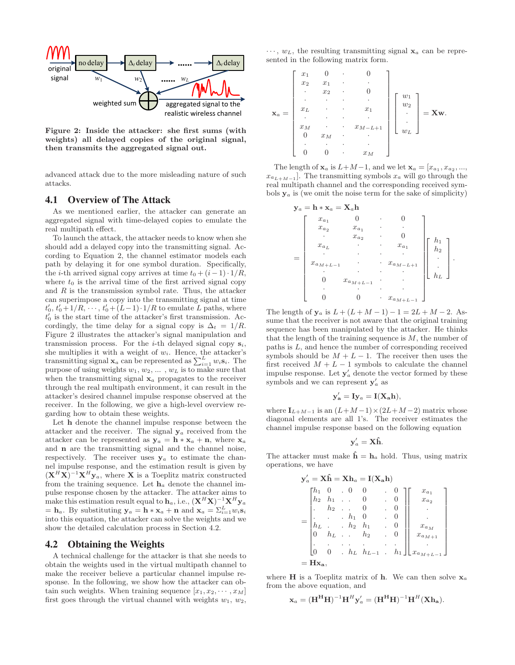

Figure 2: Inside the attacker: she first sums (with weights) all delayed copies of the original signal, then transmits the aggregated signal out.

advanced attack due to the more misleading nature of such attacks.

## **4.1 Overview of The Attack**

As we mentioned earlier, the attacker can generate an aggregated signal with time-delayed copies to emulate the real multipath effect.

To launch the attack, the attacker needs to know when she should add a delayed copy into the transmitting signal. According to Equation 2, the channel estimator models each path by delaying it for one symbol duration. Specifically, the *i*-th arrived signal copy arrives at time  $t_0 + (i-1) \cdot 1/R$ , where  $t_0$  is the arrival time of the first arrived signal copy and  $R$  is the transmission symbol rate. Thus, the attacker can superimpose a copy into the transmitting signal at time  $t'_0, t'_0+1/R, \cdots, t'_0+(L-1)\cdot 1/R$  to emulate L paths, where  $t_0$  is the start time of the attacker's first transmission. Accordingly, the time delay for a signal copy is  $\Delta_t = 1/R$ . Figure 2 illustrates the attacker's signal manipulation and transmission process. For the *i*-th delayed signal copy  $s_i$ , she multiplies it with a weight of  $w_i$ . Hence, the attacker's transmitting signal  $\mathbf{x}_a$  can be represented as  $\sum_{i=1}^L w_i \mathbf{s}_i$ . The purpose of using weights  $w_1, w_2, \ldots, w_L$  is to make sure that when the transmitting signal  $x_a$  propagates to the receiver through the real multipath environment, it can result in the attacker's desired channel impulse response observed at the receiver. In the following, we give a high-level overview regarding how to obtain these weights.

Let h denote the channel impulse response between the attacker and the receiver. The signal  $y_a$  received from the attacker can be represented as  $y_a = h * x_a + n$ , where  $x_a$ and n are the transmitting signal and the channel noise, respectively. The receiver uses  $y_a$  to estimate the channel impulse response, and the estimation result is given by  $(\mathbf{X}^H \mathbf{X})^{-1} \mathbf{X}^H \mathbf{y}_a$ , where **X** is a Toeplitz matrix constructed from the training sequence. Let  $h_a$  denote the channel impulse response chosen by the attacker. The attacker aims to make this estimation result equal to  $\mathbf{h}_a$ , i.e.,  $(\mathbf{X}^H \mathbf{X})^{-1} \mathbf{X}^H \mathbf{y}_a$  $= \mathbf{h}_a$ . By substituting  $\mathbf{y}_a = \mathbf{h} * \mathbf{x}_a + \mathbf{n}$  and  $\mathbf{x}_a = \sum_{i=1}^L w_i \mathbf{s}_i$ into this equation, the attacker can solve the weights and we show the detailed calculation process in Section 4.2.

## **4.2 Obtaining the Weights**

A technical challenge for the attacker is that she needs to obtain the weights used in the virtual multipath channel to make the receiver believe a particular channel impulse response. In the following, we show how the attacker can obtain such weights. When training sequence  $[x_1, x_2, \dots, x_M]$ first goes through the virtual channel with weights  $w_1, w_2,$   $\cdots$ ,  $w_L$ , the resulting transmitting signal  $\mathbf{x}_a$  can be represented in the following matrix form.

$$
\mathbf{x}_{a} = \begin{bmatrix} x_{1} & 0 & \cdot & 0 \\ x_{2} & x_{1} & \cdot & \cdot \\ \cdot & x_{2} & \cdot & 0 \\ \cdot & \cdot & \cdot & \cdot \\ x_{L} & \cdot & \cdot & x_{1} \\ \cdot & \cdot & \cdot & \cdot \\ x_{M} & \cdot & \cdot & x_{M-L+1} \\ 0 & x_{M} & \cdot & \cdot \\ \cdot & \cdot & \cdot & \cdot \\ 0 & 0 & \cdot & x_{M} \end{bmatrix} \begin{bmatrix} w_{1} \\ w_{2} \\ \cdot \\ w_{L} \end{bmatrix} = \mathbf{X} \mathbf{w}.
$$

The length of  $\mathbf{x}_a$  is  $L+M-1$ , and we let  $\mathbf{x}_a = [x_{a_1}, x_{a_2}, ...,$  $x_{a_{L+M-1}}$ . The transmitting symbols  $x_a$  will go through the real multipath channel and the corresponding received symbols  $y_a$  is (we omit the noise term for the sake of simplicity)

$$
\mathbf{y}_{a} = \mathbf{h} * \mathbf{x}_{a} = \mathbf{X}_{a} \mathbf{h}
$$
\n
$$
= \begin{bmatrix}\nx_{a_{1}} & 0 & \cdots & 0 \\
x_{a_{2}} & x_{a_{1}} & \cdots & \vdots \\
\vdots & \vdots & \ddots & \vdots \\
x_{a_{L}} & \cdots & x_{a_{1}} & \cdots \\
\vdots & \vdots & \ddots & \vdots \\
x_{a_{M+L-1}} & \cdots & x_{a_{M-L+1}} & \cdots \\
\vdots & \vdots & \vdots & \ddots \\
0 & 0 & \cdots & x_{a_{M+L-1}}\n\end{bmatrix}\n\begin{bmatrix}\nh_{1} \\
h_{2} \\
\vdots \\
h_{L}\n\end{bmatrix}.
$$

The length of  $y_a$  is  $L + (L + M - 1) - 1 = 2L + M - 2$ . Assume that the receiver is not aware that the original training sequence has been manipulated by the attacker. He thinks that the length of the training sequence is  $M$ , the number of paths is L, and hence the number of corresponding received symbols should be  $M + L - 1$ . The receiver then uses the first received  $M + L - 1$  symbols to calculate the channel impulse response. Let  $y'_a$  denote the vector formed by these symbols and we can represent  $y'_a$  as

$$
\mathbf{y}_{\mathbf{a}}' = \mathbf{I} \mathbf{y}_a = \mathbf{I}(\mathbf{X}_{\mathbf{a}} \mathbf{h}),
$$

where  $\mathbf{I}_{L+M-1}$  is an  $(L+M-1)\times(2L+M-2)$  matrix whose diagonal elements are all 1's. The receiver estimates the channel impulse response based on the following equation

$$
\mathbf{y}'_a = \mathbf{X}\hat{\mathbf{h}}.
$$

The attacker must make  $\hat{\mathbf{h}} = \mathbf{h}_a$  hold. Thus, using matrix operations, we have

$$
\mathbf{y}'_a = \mathbf{X}\hat{\mathbf{h}} = \mathbf{X}\mathbf{h}_a = \mathbf{I}(\mathbf{X}_a\mathbf{h})
$$
\n
$$
\begin{bmatrix}\nh_1 & 0 & . & 0 & 0 & . & 0 \\
h_2 & h_1 & . & 0 & . & 0 & 0 \\
h_2 & . & . & 0 & . & 0 & 0 \\
h_2 & . & . & h_1 & 0 & . & 0 \\
h_2 & . & . & h_2 & h_1 & . & 0 \\
h_2 & . & . & h_2 & . & 0 & x_{a_M} \\
h_2 & . & . & h_2 & . & 0 & x_{a_{M+1}} \\
h_1 & . & . & h_2 & . & 0 & x_{a_{M+2}} \\
\vdots & . & . & . & . & . & . \\
h_2 & . & . & h_2 & . & h_1 & x_{a_{M+2-1}}\n\end{bmatrix}
$$
\n
$$
= \mathbf{H}\mathbf{x}_a,
$$

where **H** is a Toeplitz matrix of **h**. We can then solve  $x_a$ from the above equation, and

$$
\mathbf{x}_a = (\mathbf{H}^{\mathbf{H}} \mathbf{H})^{-1} \mathbf{H}^H \mathbf{y}_a' = (\mathbf{H}^{\mathbf{H}} \mathbf{H})^{-1} \mathbf{H}^H (\mathbf{X} \mathbf{h}_\mathbf{a}).
$$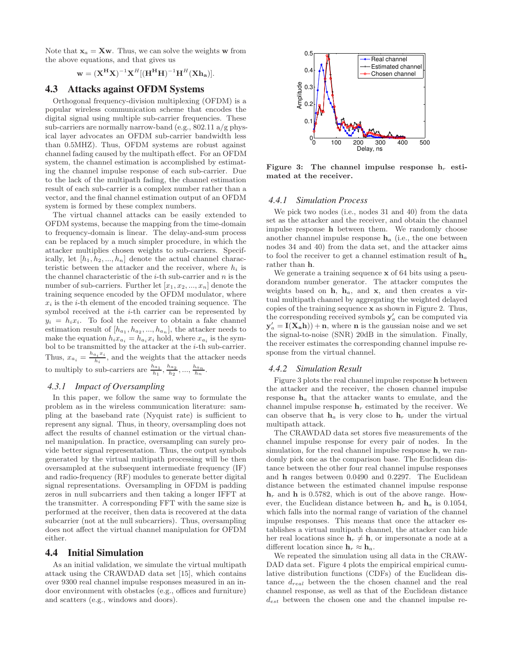Note that  $x_a = Xw$ . Thus, we can solve the weights w from the above equations, and that gives us

$$
\mathbf{w} = (\mathbf{X}^{\mathbf{H}} \mathbf{X})^{-1} \mathbf{X}^{H} [(\mathbf{H}^{\mathbf{H}} \mathbf{H})^{-1} \mathbf{H}^{H} (\mathbf{X} \mathbf{h}_{\mathbf{a}})].
$$

## **4.3 Attacks against OFDM Systems**

Orthogonal frequency-division multiplexing (OFDM) is a popular wireless communication scheme that encodes the digital signal using multiple sub-carrier frequencies. These sub-carriers are normally narrow-band (e.g., 802.11 a/g physical layer advocates an OFDM sub-carrier bandwidth less than 0.5MHZ). Thus, OFDM systems are robust against channel fading caused by the multipath effect. For an OFDM system, the channel estimation is accomplished by estimating the channel impulse response of each sub-carrier. Due to the lack of the multipath fading, the channel estimation result of each sub-carrier is a complex number rather than a vector, and the final channel estimation output of an OFDM system is formed by these complex numbers.

The virtual channel attacks can be easily extended to OFDM systems, because the mapping from the time-domain to frequency-domain is linear. The delay-and-sum process can be replaced by a much simpler procedure, in which the attacker multiplies chosen weights to sub-carriers. Specifically, let  $[h_1, h_2, ..., h_n]$  denote the actual channel characteristic between the attacker and the receiver, where  $h_i$  is the channel characteristic of the  $i$ -th sub-carrier and  $n$  is the number of sub-carriers. Further let  $[x_1, x_2, ..., x_n]$  denote the training sequence encoded by the OFDM modulator, where  $x_i$  is the *i*-th element of the encoded training sequence. The symbol received at the *i*-th carrier can be represented by  $y_i = h_i x_i$ . To fool the receiver to obtain a fake channel estimation result of  $[h_{a_1}, h_{a_2},..., h_{a_n}]$ , the attacker needs to make the equation  $h_i x_{a_i} = h_{a_i} x_i$  hold, where  $x_{a_i}$  is the symbol to be transmitted by the attacker at the  $i$ -th sub-carrier. Thus,  $x_{a_i} = \frac{h_{a_i} x_i}{h_i}$  $\frac{n_i x_i}{h_i}$ , and the weights that the attacker needs to multiply to sub-carriers are  $\frac{h_{a_1}}{h_1}$ ,  $\frac{h_{a_2}}{h_2}$ , ...,  $\frac{h_{a_n}}{h_n}$ .

## *4.3.1 Impact of Oversampling*

In this paper, we follow the same way to formulate the problem as in the wireless communication literature: sampling at the baseband rate (Nyquist rate) is sufficient to represent any signal. Thus, in theory, oversampling does not affect the results of channel estimation or the virtual channel manipulation. In practice, oversampling can surely provide better signal representation. Thus, the output symbols generated by the virtual multipath processing will be then oversampled at the subsequent intermediate frequency (IF) and radio-frequency (RF) modules to generate better digital signal representations. Oversampling in OFDM is padding zeros in null subcarriers and then taking a longer IFFT at the transmitter. A corresponding FFT with the same size is performed at the receiver, then data is recovered at the data subcarrier (not at the null subcarriers). Thus, oversampling does not affect the virtual channel manipulation for OFDM either.

#### **4.4 Initial Simulation**

As an initial validation, we simulate the virtual multipath attack using the CRAWDAD data set [15], which contains over 9300 real channel impulse responses measured in an indoor environment with obstacles (e.g., offices and furniture) and scatters (e.g., windows and doors).



Figure 3: The channel impulse response  $h_r$  estimated at the receiver.

#### *4.4.1 Simulation Process*

We pick two nodes (i.e., nodes 31 and 40) from the data set as the attacker and the receiver, and obtain the channel impulse response h between them. We randomly choose another channel impulse response  $h_a$  (i.e., the one between nodes 34 and 40) from the data set, and the attacker aims to fool the receiver to get a channel estimation result of  $h_a$ rather than h.

We generate a training sequence **x** of 64 bits using a pseudorandom number generator. The attacker computes the weights based on  $h$ ,  $h_a$ , and  $x$ , and then creates a virtual multipath channel by aggregating the weighted delayed copies of the training sequence x as shown in Figure 2. Thus, the corresponding received symbols  $y'_a$  can be computed via  $y'_a = I(X_a h) + n$ , where **n** is the gaussian noise and we set the signal-to-noise (SNR) 20dB in the simulation. Finally, the receiver estimates the corresponding channel impulse response from the virtual channel.

#### *4.4.2 Simulation Result*

Figure 3 plots the real channel impulse response h between the attacker and the receiver, the chosen channel impulse response  $h_a$  that the attacker wants to emulate, and the channel impulse response  $h_r$  estimated by the receiver. We can observe that  $h_a$  is very close to  $h_r$  under the virtual multipath attack.

The CRAWDAD data set stores five measurements of the channel impulse response for every pair of nodes. In the simulation, for the real channel impulse response h, we randomly pick one as the comparison base. The Euclidean distance between the other four real channel impulse responses and h ranges between 0.0490 and 0.2297. The Euclidean distance between the estimated channel impulse response  $h_r$  and h is 0.5782, which is out of the above range. However, the Euclidean distance between  $\mathbf{h}_r$  and  $\mathbf{h}_a$  is 0.1054, which falls into the normal range of variation of the channel impulse responses. This means that once the attacker establishes a virtual multipath channel, the attacker can hide her real locations since  $h_r \neq h$ , or impersonate a node at a different location since  $h_r \approx h_a$ .

We repeated the simulation using all data in the CRAW-DAD data set. Figure 4 plots the empirical empirical cumulative distribution functions (CDFs) of the Euclidean distance  $d_{real}$  between the the chosen channel and the real channel response, as well as that of the Euclidean distance  $d_{est}$  between the chosen one and the channel impulse re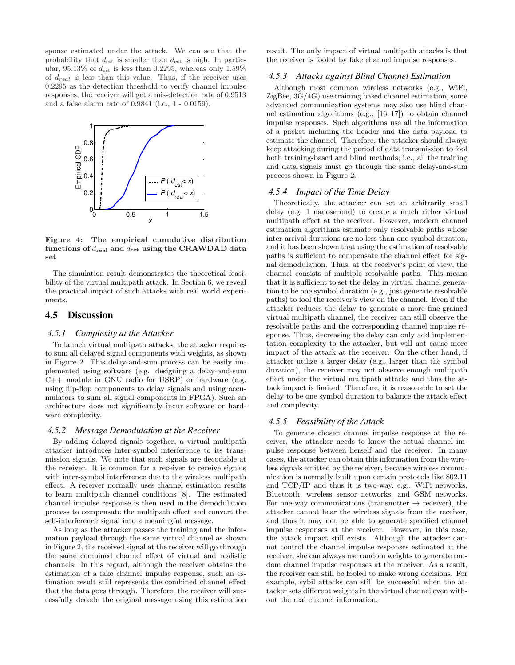sponse estimated under the attack. We can see that the probability that  $d_{est}$  is smaller than  $d_{est}$  is high. In particular, 95.13% of  $d_{est}$  is less than 0.2295, whereas only 1.59% of  $d_{real}$  is less than this value. Thus, if the receiver uses 0.2295 as the detection threshold to verify channel impulse responses, the receiver will get a mis-detection rate of 0.9513 and a false alarm rate of 0.9841 (i.e., 1 - 0.0159).



Figure 4: The empirical cumulative distribution functions of  $d_{\text{real}}$  and  $d_{\text{est}}$  using the CRAWDAD data set

The simulation result demonstrates the theoretical feasibility of the virtual multipath attack. In Section 6, we reveal the practical impact of such attacks with real world experiments.

## **4.5 Discussion**

#### *4.5.1 Complexity at the Attacker*

To launch virtual multipath attacks, the attacker requires to sum all delayed signal components with weights, as shown in Figure 2. This delay-and-sum process can be easily implemented using software (e.g. designing a delay-and-sum C++ module in GNU radio for USRP) or hardware (e.g. using flip-flop components to delay signals and using accumulators to sum all signal components in FPGA). Such an architecture does not significantly incur software or hardware complexity.

#### *4.5.2 Message Demodulation at the Receiver*

By adding delayed signals together, a virtual multipath attacker introduces inter-symbol interference to its transmission signals. We note that such signals are decodable at the receiver. It is common for a receiver to receive signals with inter-symbol interference due to the wireless multipath effect. A receiver normally uses channel estimation results to learn multipath channel conditions [8]. The estimated channel impulse response is then used in the demodulation process to compensate the multipath effect and convert the self-interference signal into a meaningful message.

As long as the attacker passes the training and the information payload through the same virtual channel as shown in Figure 2, the received signal at the receiver will go through the same combined channel effect of virtual and realistic channels. In this regard, although the receiver obtains the estimation of a fake channel impulse response, such an estimation result still represents the combined channel effect that the data goes through. Therefore, the receiver will successfully decode the original message using this estimation result. The only impact of virtual multipath attacks is that the receiver is fooled by fake channel impulse responses.

#### *4.5.3 Attacks against Blind Channel Estimation*

Although most common wireless networks (e.g., WiFi, ZigBee, 3G/4G) use training based channel estimation, some advanced communication systems may also use blind channel estimation algorithms (e.g., [16, 17]) to obtain channel impulse responses. Such algorithms use all the information of a packet including the header and the data payload to estimate the channel. Therefore, the attacker should always keep attacking during the period of data transmission to fool both training-based and blind methods; i.e., all the training and data signals must go through the same delay-and-sum process shown in Figure 2.

#### *4.5.4 Impact of the Time Delay*

Theoretically, the attacker can set an arbitrarily small delay (e.g, 1 nanosecond) to create a much richer virtual multipath effect at the receiver. However, modern channel estimation algorithms estimate only resolvable paths whose inter-arrival durations are no less than one symbol duration, and it has been shown that using the estimation of resolvable paths is sufficient to compensate the channel effect for signal demodulation. Thus, at the receiver's point of view, the channel consists of multiple resolvable paths. This means that it is sufficient to set the delay in virtual channel generation to be one symbol duration (e.g., just generate resolvable paths) to fool the receiver's view on the channel. Even if the attacker reduces the delay to generate a more fine-grained virtual multipath channel, the receiver can still observe the resolvable paths and the corresponding channel impulse response. Thus, decreasing the delay can only add implementation complexity to the attacker, but will not cause more impact of the attack at the receiver. On the other hand, if attacker utilize a larger delay (e.g., larger than the symbol duration), the receiver may not observe enough multipath effect under the virtual multipath attacks and thus the attack impact is limited. Therefore, it is reasonable to set the delay to be one symbol duration to balance the attack effect and complexity.

#### *4.5.5 Feasibility of the Attack*

To generate chosen channel impulse response at the receiver, the attacker needs to know the actual channel impulse response between herself and the receiver. In many cases, the attacker can obtain this information from the wireless signals emitted by the receiver, because wireless communication is normally built upon certain protocols like 802.11 and TCP/IP and thus it is two-way, e.g., WiFi networks, Bluetooth, wireless sensor networks, and GSM networks. For one-way communications (transmitter  $\rightarrow$  receiver), the attacker cannot hear the wireless signals from the receiver, and thus it may not be able to generate specified channel impulse responses at the receiver. However, in this case, the attack impact still exists. Although the attacker cannot control the channel impulse responses estimated at the receiver, she can always use random weights to generate random channel impulse responses at the receiver. As a result, the receiver can still be fooled to make wrong decisions. For example, sybil attacks can still be successful when the attacker sets different weights in the virtual channel even without the real channel information.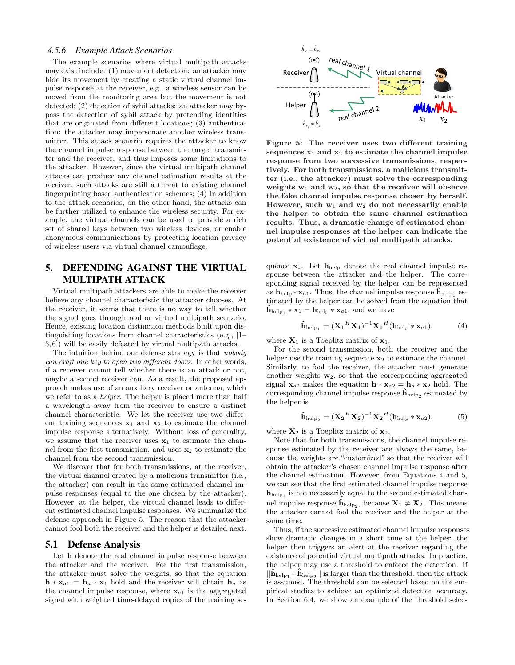## *4.5.6 Example Attack Scenarios*

The example scenarios where virtual multipath attacks may exist include: (1) movement detection: an attacker may hide its movement by creating a static virtual channel impulse response at the receiver, e.g., a wireless sensor can be moved from the monitoring area but the movement is not detected; (2) detection of sybil attacks: an attacker may bypass the detection of sybil attack by pretending identities that are originated from different locations; (3) authentication: the attacker may impersonate another wireless transmitter. This attack scenario requires the attacker to know the channel impulse response between the target transmitter and the receiver, and thus imposes some limitations to the attacker. However, since the virtual multipath channel attacks can produce any channel estimation results at the receiver, such attacks are still a threat to existing channel fingerprinting based authentication schemes; (4) In addition to the attack scenarios, on the other hand, the attacks can be further utilized to enhance the wireless security. For example, the virtual channels can be used to provide a rich set of shared keys between two wireless devices, or enable anonymous communications by protecting location privacy of wireless users via virtual channel camouflage.

# **5. DEFENDING AGAINST THE VIRTUAL MULTIPATH ATTACK**

Virtual multipath attackers are able to make the receiver believe any channel characteristic the attacker chooses. At the receiver, it seems that there is no way to tell whether the signal goes through real or virtual multipath scenario. Hence, existing location distinction methods built upon distinguishing locations from channel characteristics (e.g., [1– 3, 6]) will be easily defeated by virtual multipath attacks.

The intuition behind our defense strategy is that nobody can craft one key to open two different doors. In other words, if a receiver cannot tell whether there is an attack or not, maybe a second receiver can. As a result, the proposed approach makes use of an auxiliary receiver or antenna, which we refer to as a helper. The helper is placed more than half a wavelength away from the receiver to ensure a distinct channel characteristic. We let the receiver use two different training sequences  $x_1$  and  $x_2$  to estimate the channel impulse response alternatively. Without loss of generality, we assume that the receiver uses  $x_1$  to estimate the channel from the first transmission, and uses  $x_2$  to estimate the channel from the second transmission.

We discover that for both transmissions, at the receiver, the virtual channel created by a malicious transmitter (i.e., the attacker) can result in the same estimated channel impulse responses (equal to the one chosen by the attacker). However, at the helper, the virtual channel leads to different estimated channel impulse responses. We summarize the defense approach in Figure 5. The reason that the attacker cannot fool both the receiver and the helper is detailed next.

#### **5.1 Defense Analysis**

Let h denote the real channel impulse response between the attacker and the receiver. For the first transmission, the attacker must solve the weights, so that the equation  $\mathbf{h} * \mathbf{x}_{a1} = \mathbf{h}_a * \mathbf{x}_1$  hold and the receiver will obtain  $\mathbf{h}_a$  as the channel impulse response, where  $x_{a1}$  is the aggregated signal with weighted time-delayed copies of the training se-



Figure 5: The receiver uses two different training sequences  $x_1$  and  $x_2$  to estimate the channel impulse response from two successive transmissions, respectively. For both transmissions, a malicious transmitter (i.e., the attacker) must solve the corresponding weights  $w_1$  and  $w_2$ , so that the receiver will observe the fake channel impulse response chosen by herself. However, such  $w_1$  and  $w_2$  do not necessarily enable the helper to obtain the same channel estimation results. Thus, a dramatic change of estimated channel impulse responses at the helper can indicate the potential existence of virtual multipath attacks.

quence  $x_1$ . Let  $h_{\text{help}}$  denote the real channel impulse response between the attacker and the helper. The corresponding signal received by the helper can be represented as  $h_{\text{help}} * x_{a1}$ . Thus, the channel impulse response  $\hat{h}_{\text{help}}$  estimated by the helper can be solved from the equation that  $\hat{\mathbf{h}}_{\text{help}_1} * \mathbf{x}_1 = \mathbf{h}_{\text{help}} * \mathbf{x}_{a1}$ , and we have

$$
\hat{\mathbf{h}}_{\text{help}_1} = (\mathbf{X_1}^H \mathbf{X_1})^{-1} \mathbf{X_1}^H (\mathbf{h}_{\text{help}} * \mathbf{x}_{a1}),
$$
\n(4)

where  $X_1$  is a Toeplitz matrix of  $x_1$ .

For the second transmission, both the receiver and the helper use the training sequence  $x_2$  to estimate the channel. Similarly, to fool the receiver, the attacker must generate another weights  $w_2$ , so that the corresponding aggregated signal  $\mathbf{x}_{a2}$  makes the equation  $\mathbf{h} * \mathbf{x}_{a2} = \mathbf{h}_a * \mathbf{x}_2$  hold. The corresponding channel impulse response  $\mathbf{\hat{h}}_{\text{help}_2}$  estimated by the helper is

$$
\hat{\mathbf{h}}_{\text{help}_2} = (\mathbf{X_2}^H \mathbf{X_2})^{-1} \mathbf{X_2}^H (\mathbf{h}_{\text{help}} * \mathbf{x}_{a2}),
$$
 (5)

where  $X_2$  is a Toeplitz matrix of  $x_2$ .

Note that for both transmissions, the channel impulse response estimated by the receiver are always the same, because the weights are "customized" so that the receiver will obtain the attacker's chosen channel impulse response after the channel estimation. However, from Equations 4 and 5, we can see that the first estimated channel impulse response  $\mathbf{\hat{h}}_{\text{help}_1}$  is not necessarily equal to the second estimated channel impulse response  $\mathbf{\hat{h}}_{\text{help}_2}$ , because  $\mathbf{X}_1 \neq \mathbf{X}_2$ . This means the attacker cannot fool the receiver and the helper at the same time.

Thus, if the successive estimated channel impulse responses show dramatic changes in a short time at the helper, the helper then triggers an alert at the receiver regarding the existence of potential virtual multipath attacks. In practice, the helper may use a threshold to enforce the detection. If  $||\mathbf{\hat{h}}_{\text{help}_1} - \mathbf{\hat{h}}_{\text{help}_2}||$  is larger than the threshold, then the attack is assumed. The threshold can be selected based on the empirical studies to achieve an optimized detection accuracy. In Section 6.4, we show an example of the threshold selec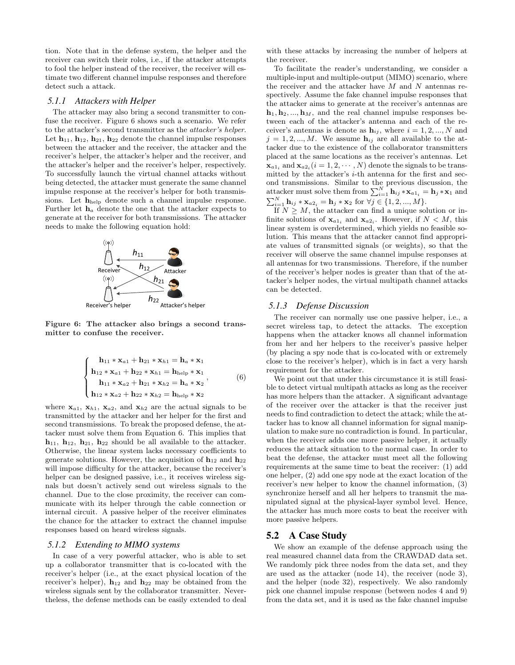tion. Note that in the defense system, the helper and the receiver can switch their roles, i.e., if the attacker attempts to fool the helper instead of the receiver, the receiver will estimate two different channel impulse responses and therefore detect such a attack.

#### *5.1.1 Attackers with Helper*

The attacker may also bring a second transmitter to confuse the receiver. Figure 6 shows such a scenario. We refer to the attacker's second transmitter as the attacker's helper. Let  $\mathbf{h}_{11}$ ,  $\mathbf{h}_{12}$ ,  $\mathbf{h}_{21}$ ,  $\mathbf{h}_{22}$  denote the channel impulse responses between the attacker and the receiver, the attacker and the receiver's helper, the attacker's helper and the receiver, and the attacker's helper and the receiver's helper, respectively. To successfully launch the virtual channel attacks without being detected, the attacker must generate the same channel impulse response at the receiver's helper for both transmissions. Let hhelp denote such a channel impulse response. Further let  $h_a$  denote the one that the attacker expects to generate at the receiver for both transmissions. The attacker needs to make the following equation hold:



Figure 6: The attacker also brings a second transmitter to confuse the receiver.

$$
\begin{cases}\n\mathbf{h}_{11} * \mathbf{x}_{a1} + \mathbf{h}_{21} * \mathbf{x}_{h1} = \mathbf{h}_{a} * \mathbf{x}_{1} \\
\mathbf{h}_{12} * \mathbf{x}_{a1} + \mathbf{h}_{22} * \mathbf{x}_{h1} = \mathbf{h}_{\text{help}} * \mathbf{x}_{1} \\
\mathbf{h}_{11} * \mathbf{x}_{a2} + \mathbf{h}_{21} * \mathbf{x}_{h2} = \mathbf{h}_{a} * \mathbf{x}_{2} \\
\mathbf{h}_{12} * \mathbf{x}_{a2} + \mathbf{h}_{22} * \mathbf{x}_{h2} = \mathbf{h}_{\text{help}} * \mathbf{x}_{2}\n\end{cases}
$$
\n(6)

where  $x_{a1}$ ,  $x_{h1}$ ,  $x_{a2}$ , and  $x_{h2}$  are the actual signals to be transmitted by the attacker and her helper for the first and second transmissions. To break the proposed defense, the attacker must solve them from Equation 6. This implies that  $\mathbf{h}_{11}$ ,  $\mathbf{h}_{12}$ ,  $\mathbf{h}_{21}$ ,  $\mathbf{h}_{22}$  should be all available to the attacker. Otherwise, the linear system lacks necessary coefficients to generate solutions. However, the acquisition of  $h_{12}$  and  $h_{22}$ will impose difficulty for the attacker, because the receiver's helper can be designed passive, i.e., it receives wireless signals but doesn't actively send out wireless signals to the channel. Due to the close proximity, the receiver can communicate with its helper through the cable connection or internal circuit. A passive helper of the receiver eliminates the chance for the attacker to extract the channel impulse responses based on heard wireless signals.

#### *5.1.2 Extending to MIMO systems*

In case of a very powerful attacker, who is able to set up a collaborator transmitter that is co-located with the receiver's helper (i.e., at the exact physical location of the receiver's helper),  $h_{12}$  and  $h_{22}$  may be obtained from the wireless signals sent by the collaborator transmitter. Nevertheless, the defense methods can be easily extended to deal

with these attacks by increasing the number of helpers at the receiver.

To facilitate the reader's understanding, we consider a multiple-input and multiple-output (MIMO) scenario, where the receiver and the attacker have M and N antennas respectively. Assume the fake channel impulse responses that the attacker aims to generate at the receiver's antennas are  $\mathbf{h}_1, \mathbf{h}_2, ..., \mathbf{h}_M$ , and the real channel impulse responses between each of the attacker's antenna and each of the receiver's antennas is denote as  $h_{ij}$ , where  $i = 1, 2, ..., N$  and  $j = 1, 2, ..., M$ . We assume  $h_{ij}$  are all available to the attacker due to the existence of the collaborator transmitters placed at the same locations as the receiver's antennas. Let  $\mathbf{x}_{a1_i}$  and  $\mathbf{x}_{a2_i}$   $(i = 1, 2, \cdots, N)$  denote the signals to be transmitted by the attacker's  $i$ -th antenna for the first and second transmissions. Similar to the previous discussion, the attacker must solve them from  $\sum_{i=1}^{N} \mathbf{h}_{ij} * \mathbf{x}_{a1_i} = \mathbf{h}_j * \mathbf{x}_1$  and  $\sum_{i=1}^{N} \mathbf{h}_{ij} * \mathbf{x}_{a2_i} = \mathbf{h}_j * \mathbf{x}_2 \text{ for } \forall j \in \{1, 2, ..., M\}.$ 

If  $N > M$ , the attacker can find a unique solution or infinite solutions of  $\mathbf{x}_{a1_i}$  and  $\mathbf{x}_{a2_i}$ . However, if  $N < M$ , this linear system is overdetermined, which yields no feasible solution. This means that the attacker cannot find appropriate values of transmitted signals (or weights), so that the receiver will observe the same channel impulse responses at all antennas for two transmissions. Therefore, if the number of the receiver's helper nodes is greater than that of the attacker's helper nodes, the virtual multipath channel attacks can be detected.

#### *5.1.3 Defense Discussion*

The receiver can normally use one passive helper, i.e., a secret wireless tap, to detect the attacks. The exception happens when the attacker knows all channel information from her and her helpers to the receiver's passive helper (by placing a spy node that is co-located with or extremely close to the receiver's helper), which is in fact a very harsh requirement for the attacker.

We point out that under this circumstance it is still feasible to detect virtual multipath attacks as long as the receiver has more helpers than the attacker. A significant advantage of the receiver over the attacker is that the receiver just needs to find contradiction to detect the attack; while the attacker has to know all channel information for signal manipulation to make sure no contradiction is found. In particular, when the receiver adds one more passive helper, it actually reduces the attack situation to the normal case. In order to beat the defense, the attacker must meet all the following requirements at the same time to beat the receiver: (1) add one helper, (2) add one spy node at the exact location of the receiver's new helper to know the channel information, (3) synchronize herself and all her helpers to transmit the manipulated signal at the physical-layer symbol level. Hence, the attacker has much more costs to beat the receiver with more passive helpers.

## **5.2 A Case Study**

We show an example of the defense approach using the real measured channel data from the CRAWDAD data set. We randomly pick three nodes from the data set, and they are used as the attacker (node 14), the receiver (node 3), and the helper (node 32), respectively. We also randomly pick one channel impulse response (between nodes 4 and 9) from the data set, and it is used as the fake channel impulse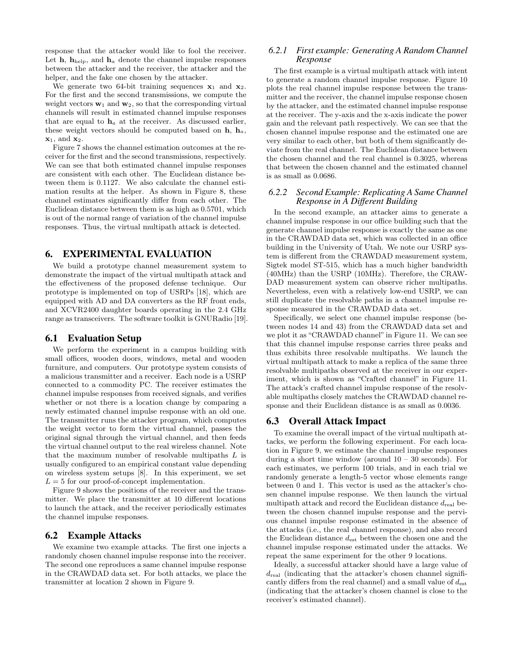response that the attacker would like to fool the receiver. Let h,  $h_{\text{help}}$ , and  $h_a$  denote the channel impulse responses between the attacker and the receiver, the attacker and the helper, and the fake one chosen by the attacker.

We generate two 64-bit training sequences  $x_1$  and  $x_2$ . For the first and the second transmissions, we compute the weight vectors  $w_1$  and  $w_2$ , so that the corresponding virtual channels will result in estimated channel impulse responses that are equal to  $h_a$  at the receiver. As discussed earlier, these weight vectors should be computed based on  $h, h_a$ ,  $\mathbf{x}_1$ , and  $\mathbf{x}_2$ .

Figure 7 shows the channel estimation outcomes at the receiver for the first and the second transmissions, respectively. We can see that both estimated channel impulse responses are consistent with each other. The Euclidean distance between them is 0.1127. We also calculate the channel estimation results at the helper. As shown in Figure 8, these channel estimates significantly differ from each other. The Euclidean distance between them is as high as 0.5701, which is out of the normal range of variation of the channel impulse responses. Thus, the virtual multipath attack is detected.

## **6. EXPERIMENTAL EVALUATION**

We build a prototype channel measurement system to demonstrate the impact of the virtual multipath attack and the effectiveness of the proposed defense technique. Our prototype is implemented on top of USRPs [18], which are equipped with AD and DA converters as the RF front ends, and XCVR2400 daughter boards operating in the 2.4 GHz range as transceivers. The software toolkit is GNURadio [19].

#### **6.1 Evaluation Setup**

We perform the experiment in a campus building with small offices, wooden doors, windows, metal and wooden furniture, and computers. Our prototype system consists of a malicious transmitter and a receiver. Each node is a USRP connected to a commodity PC. The receiver estimates the channel impulse responses from received signals, and verifies whether or not there is a location change by comparing a newly estimated channel impulse response with an old one. The transmitter runs the attacker program, which computes the weight vector to form the virtual channel, passes the original signal through the virtual channel, and then feeds the virtual channel output to the real wireless channel. Note that the maximum number of resolvable multipaths  $L$  is usually configured to an empirical constant value depending on wireless system setups [8]. In this experiment, we set  $L = 5$  for our proof-of-concept implementation.

Figure 9 shows the positions of the receiver and the transmitter. We place the transmitter at 10 different locations to launch the attack, and the receiver periodically estimates the channel impulse responses.

## **6.2 Example Attacks**

We examine two example attacks. The first one injects a randomly chosen channel impulse response into the receiver. The second one reproduces a same channel impulse response in the CRAWDAD data set. For both attacks, we place the transmitter at location 2 shown in Figure 9.

## *6.2.1 First example: Generating A Random Channel Response*

The first example is a virtual multipath attack with intent to generate a random channel impulse response. Figure 10 plots the real channel impulse response between the transmitter and the receiver, the channel impulse response chosen by the attacker, and the estimated channel impulse response at the receiver. The y-axis and the x-axis indicate the power gain and the relevant path respectively. We can see that the chosen channel impulse response and the estimated one are very similar to each other, but both of them significantly deviate from the real channel. The Euclidean distance between the chosen channel and the real channel is 0.3025, whereas that between the chosen channel and the estimated channel is as small as 0.0686.

#### *6.2.2 Second Example: Replicating A Same Channel Response in A Different Building*

In the second example, an attacker aims to generate a channel impulse response in our office building such that the generate channel impulse response is exactly the same as one in the CRAWDAD data set, which was collected in an office building in the University of Utah. We note our USRP system is different from the CRAWDAD measurement system, Sigtek model ST-515, which has a much higher bandwidth (40MHz) than the USRP (10MHz). Therefore, the CRAW-DAD measurement system can observe richer multipaths. Nevertheless, even with a relatively low-end USRP, we can still duplicate the resolvable paths in a channel impulse response measured in the CRAWDAD data set.

Specifically, we select one channel impulse response (between nodes 14 and 43) from the CRAWDAD data set and we plot it as "CRAWDAD channel" in Figure 11. We can see that this channel impulse response carries three peaks and thus exhibits three resolvable multipaths. We launch the virtual multipath attack to make a replica of the same three resolvable multipaths observed at the receiver in our experiment, which is shown as "Crafted channel" in Figure 11. The attack's crafted channel impulse response of the resolvable multipaths closely matches the CRAWDAD channel response and their Euclidean distance is as small as 0.0036.

## **6.3 Overall Attack Impact**

To examine the overall impact of the virtual multipath attacks, we perform the following experiment. For each location in Figure 9, we estimate the channel impulse responses during a short time window (around  $10 - 30$  seconds). For each estimates, we perform 100 trials, and in each trial we randomly generate a length-5 vector whose elements range between 0 and 1. This vector is used as the attacker's chosen channel impulse response. We then launch the virtual multipath attack and record the Euclidean distance  $d_{\text{real}}$  between the chosen channel impulse response and the pervious channel impulse response estimated in the absence of the attacks (i.e., the real channel response), and also record the Euclidean distance  $d_{est}$  between the chosen one and the channel impulse response estimated under the attacks. We repeat the same experiment for the other 9 locations.

Ideally, a successful attacker should have a large value of  $d_{\text{real}}$  (indicating that the attacker's chosen channel significantly differs from the real channel) and a small value of  $d_{est}$ (indicating that the attacker's chosen channel is close to the receiver's estimated channel).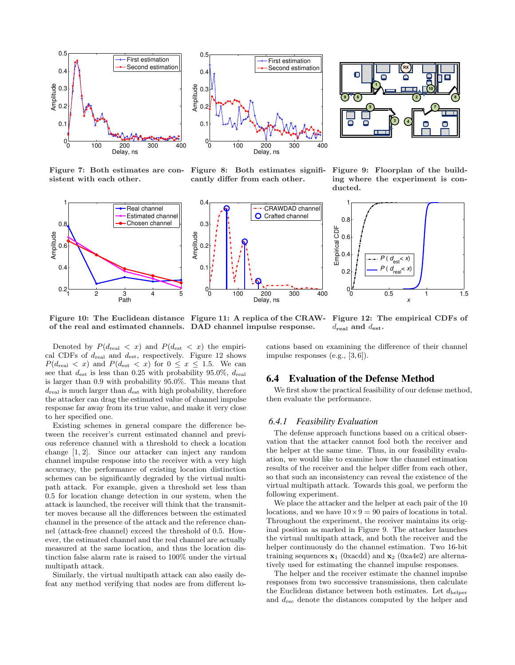

Figure 7: Both estimates are con-Figure 8: Both estimates signifisistent with each other.



cantly differ from each other.



Figure 9: Floorplan of the building where the experiment is conducted.



Figure 10: The Euclidean distance Figure 11: A replica of the CRAWof the real and estimated channels. DAD channel impulse response.  $d_{\text{real}}$  and  $d_{\text{est}}$ .

Figure 12: The empirical CDFs of

Denoted by  $P(d_{\text{real}} < x)$  and  $P(d_{\text{est}} < x)$  the empirical CDFs of  $d_{\text{real}}$  and  $d_{\text{est}}$ , respectively. Figure 12 shows  $P(d_{\text{real}} < x)$  and  $P(d_{\text{est}} < x)$  for  $0 \le x \le 1.5$ . We can see that  $d_{est}$  is less than 0.25 with probability 95.0%,  $d_{real}$ is larger than 0.9 with probability 95.0%. This means that  $d_{\text{real}}$  is much larger than  $d_{\text{est}}$  with high probability, therefore the attacker can drag the estimated value of channel impulse response far away from its true value, and make it very close to her specified one.

Existing schemes in general compare the difference between the receiver's current estimated channel and previous reference channel with a threshold to check a location change [1, 2]. Since our attacker can inject any random channel impulse response into the receiver with a very high accuracy, the performance of existing location distinction schemes can be significantly degraded by the virtual multipath attack. For example, given a threshold set less than 0.5 for location change detection in our system, when the attack is launched, the receiver will think that the transmitter moves because all the differences between the estimated channel in the presence of the attack and the reference channel (attack-free channel) exceed the threshold of 0.5. However, the estimated channel and the real channel are actually measured at the same location, and thus the location distinction false alarm rate is raised to 100% under the virtual multipath attack.

Similarly, the virtual multipath attack can also easily defeat any method verifying that nodes are from different locations based on examining the difference of their channel impulse responses (e.g., [3, 6]).

## **6.4 Evaluation of the Defense Method**

We first show the practical feasibility of our defense method, then evaluate the performance.

#### *6.4.1 Feasibility Evaluation*

The defense approach functions based on a critical observation that the attacker cannot fool both the receiver and the helper at the same time. Thus, in our feasibility evaluation, we would like to examine how the channel estimation results of the receiver and the helper differ from each other, so that such an inconsistency can reveal the existence of the virtual multipath attack. Towards this goal, we perform the following experiment.

We place the attacker and the helper at each pair of the 10 locations, and we have  $10 \times 9 = 90$  pairs of locations in total. Throughout the experiment, the receiver maintains its original position as marked in Figure 9. The attacker launches the virtual multipath attack, and both the receiver and the helper continuously do the channel estimation. Two 16-bit training sequences  $x_1$  (0xacdd) and  $x_2$  (0xa4e2) are alternatively used for estimating the channel impulse responses.

The helper and the receiver estimate the channel impulse responses from two successive transmissions, then calculate the Euclidean distance between both estimates. Let  $d_{\text{helper}}$ and  $d_{\text{rec}}$  denote the distances computed by the helper and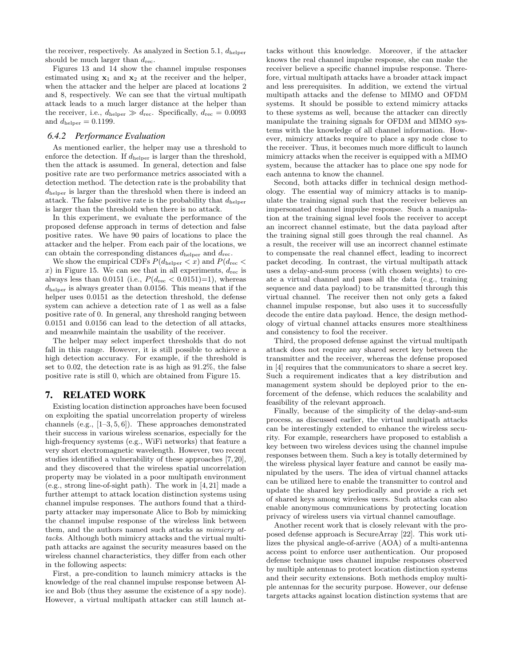the receiver, respectively. As analyzed in Section 5.1,  $d_{\text{helper}}$ should be much larger than  $d_{\text{rec}}$ .

Figures 13 and 14 show the channel impulse responses estimated using  $x_1$  and  $x_2$  at the receiver and the helper, when the attacker and the helper are placed at locations 2 and 8, respectively. We can see that the virtual multipath attack leads to a much larger distance at the helper than the receiver, i.e.,  $d_{\text{helper}} \gg d_{\text{rec}}$ . Specifically,  $d_{\text{rec}} = 0.0093$ and  $d_{\text{heller}} = 0.1199$ .

## *6.4.2 Performance Evaluation*

As mentioned earlier, the helper may use a threshold to enforce the detection. If  $d_{\text{helper}}$  is larger than the threshold, then the attack is assumed. In general, detection and false positive rate are two performance metrics associated with a detection method. The detection rate is the probability that dhelper is larger than the threshold when there is indeed an attack. The false positive rate is the probability that  $d_{\text{helper}}$ is larger than the threshold when there is no attack.

In this experiment, we evaluate the performance of the proposed defense approach in terms of detection and false positive rates. We have 90 pairs of locations to place the attacker and the helper. From each pair of the locations, we can obtain the corresponding distances  $d_{\text{helper}}$  and  $d_{\text{rec}}$ .

We show the empirical CDFs  $P(d_{\text{helper}} < x)$  and  $P(d_{\text{rec}} <$ x) in Figure 15. We can see that in all experiments,  $d_{\text{rec}}$  is always less than 0.0151 (i.e.,  $P(d_{\text{rec}} < 0.0151)=1$ ), whereas  $d_{\text{helper}}$  is always greater than 0.0156. This means that if the helper uses 0.0151 as the detection threshold, the defense system can achieve a detection rate of 1 as well as a false positive rate of 0. In general, any threshold ranging between 0.0151 and 0.0156 can lead to the detection of all attacks, and meanwhile maintain the usability of the receiver.

The helper may select imperfect thresholds that do not fall in this range. However, it is still possible to achieve a high detection accuracy. For example, if the threshold is set to 0.02, the detection rate is as high as 91.2%, the false positive rate is still 0, which are obtained from Figure 15.

## **7. RELATED WORK**

Existing location distinction approaches have been focused on exploiting the spatial uncorrelation property of wireless channels (e.g., [1–3, 5, 6]). These approaches demonstrated their success in various wireless scenarios, especially for the high-frequency systems (e.g., WiFi networks) that feature a very short electromagnetic wavelength. However, two recent studies identified a vulnerability of these approaches [7, 20], and they discovered that the wireless spatial uncorrelation property may be violated in a poor multipath environment (e.g., strong line-of-sight path). The work in [4, 21] made a further attempt to attack location distinction systems using channel impulse responses. The authors found that a thirdparty attacker may impersonate Alice to Bob by mimicking the channel impulse response of the wireless link between them, and the authors named such attacks as mimicry attacks. Although both mimicry attacks and the virtual multipath attacks are against the security measures based on the wireless channel characteristics, they differ from each other in the following aspects:

First, a pre-condition to launch mimicry attacks is the knowledge of the real channel impulse response between Alice and Bob (thus they assume the existence of a spy node). However, a virtual multipath attacker can still launch attacks without this knowledge. Moreover, if the attacker knows the real channel impulse response, she can make the receiver believe a specific channel impulse response. Therefore, virtual multipath attacks have a broader attack impact and less prerequisites. In addition, we extend the virtual multipath attacks and the defense to MIMO and OFDM systems. It should be possible to extend mimicry attacks to these systems as well, because the attacker can directly manipulate the training signals for OFDM and MIMO systems with the knowledge of all channel information. However, mimicry attacks require to place a spy node close to the receiver. Thus, it becomes much more difficult to launch mimicry attacks when the receiver is equipped with a MIMO system, because the attacker has to place one spy node for each antenna to know the channel.

Second, both attacks differ in technical design methodology. The essential way of mimicry attacks is to manipulate the training signal such that the receiver believes an impersonated channel impulse response. Such a manipulation at the training signal level fools the receiver to accept an incorrect channel estimate, but the data payload after the training signal still goes through the real channel. As a result, the receiver will use an incorrect channel estimate to compensate the real channel effect, leading to incorrect packet decoding. In contrast, the virtual multipath attack uses a delay-and-sum process (with chosen weights) to create a virtual channel and pass all the data (e.g., training sequence and data payload) to be transmitted through this virtual channel. The receiver then not only gets a faked channel impulse response, but also uses it to successfully decode the entire data payload. Hence, the design methodology of virtual channel attacks ensures more stealthiness and consistency to fool the receiver.

Third, the proposed defense against the virtual multipath attack does not require any shared secret key between the transmitter and the receiver, whereas the defense proposed in [4] requires that the communicators to share a secret key. Such a requirement indicates that a key distribution and management system should be deployed prior to the enforcement of the defense, which reduces the scalability and feasibility of the relevant approach.

Finally, because of the simplicity of the delay-and-sum process, as discussed earlier, the virtual multipath attacks can be interestingly extended to enhance the wireless security. For example, researchers have proposed to establish a key between two wireless devices using the channel impulse responses between them. Such a key is totally determined by the wireless physical layer feature and cannot be easily manipulated by the users. The idea of virtual channel attacks can be utilized here to enable the transmitter to control and update the shared key periodically and provide a rich set of shared keys among wireless users. Such attacks can also enable anonymous communications by protecting location privacy of wireless users via virtual channel camouflage.

Another recent work that is closely relevant with the proposed defense approach is SecureArray [22]. This work utilizes the physical angle-of-arrive (AOA) of a multi-antenna access point to enforce user authentication. Our proposed defense technique uses channel impulse responses observed by multiple antennas to protect location distinction systems and their security extensions. Both methods employ multiple antennas for the security purpose. However, our defense targets attacks against location distinction systems that are